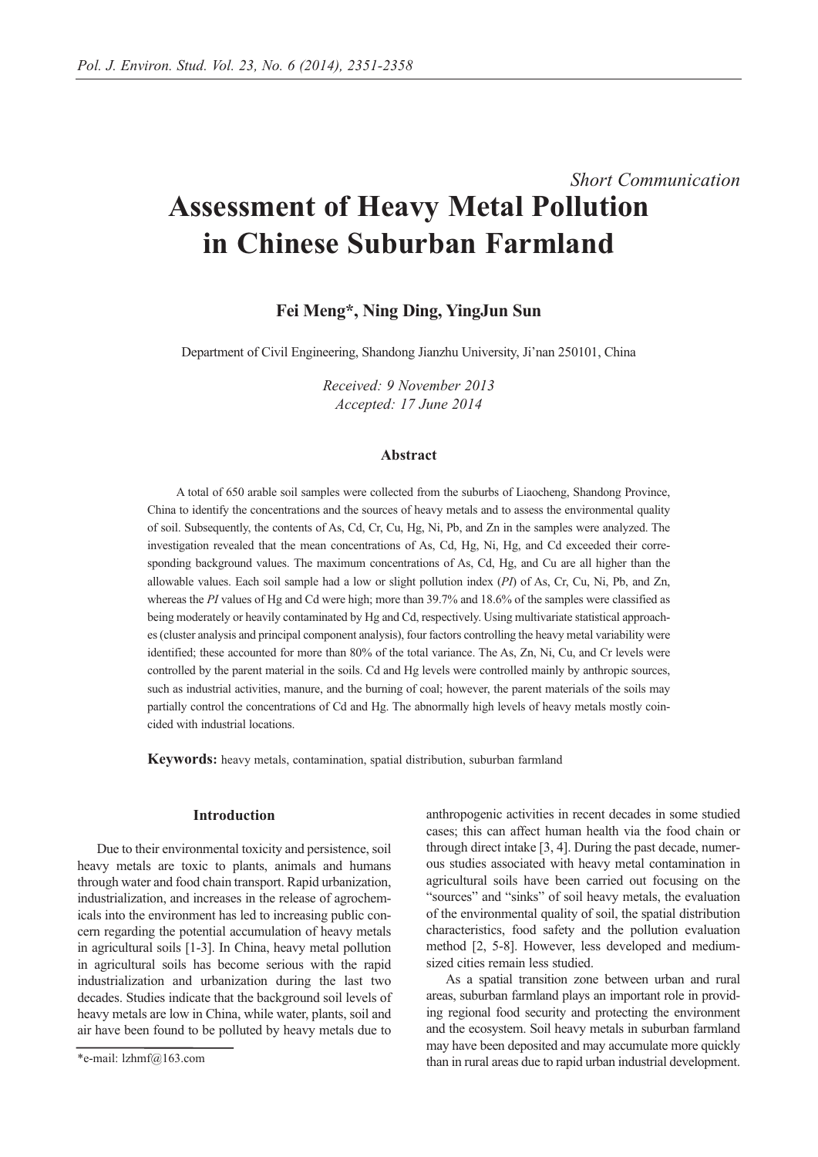# *Short Communication* **Assessment of Heavy Metal Pollution in Chinese Suburban Farmland**

# **Fei Meng\*, Ning Ding, YingJun Sun**

Department of Civil Engineering, Shandong Jianzhu University, Ji'nan 250101, China

*Received: 9 November 2013 Accepted: 17 June 2014*

### **Abstract**

A total of 650 arable soil samples were collected from the suburbs of Liaocheng, Shandong Province, China to identify the concentrations and the sources of heavy metals and to assess the environmental quality of soil. Subsequently, the contents of As, Cd, Cr, Cu, Hg, Ni, Pb, and Zn in the samples were analyzed. The investigation revealed that the mean concentrations of As, Cd, Hg, Ni, Hg, and Cd exceeded their corresponding background values. The maximum concentrations of As, Cd, Hg, and Cu are all higher than the allowable values. Each soil sample had a low or slight pollution index (*PI*) of As, Cr, Cu, Ni, Pb, and Zn, whereas the *PI* values of Hg and Cd were high; more than 39.7% and 18.6% of the samples were classified as being moderately or heavily contaminated by Hg and Cd, respectively. Using multivariate statistical approaches (cluster analysis and principal component analysis), four factors controlling the heavy metal variability were identified; these accounted for more than 80% of the total variance. The As, Zn, Ni, Cu, and Cr levels were controlled by the parent material in the soils. Cd and Hg levels were controlled mainly by anthropic sources, such as industrial activities, manure, and the burning of coal; however, the parent materials of the soils may partially control the concentrations of Cd and Hg. The abnormally high levels of heavy metals mostly coincided with industrial locations.

**Keywords:** heavy metals, contamination, spatial distribution, suburban farmland

## **Introduction**

Due to their environmental toxicity and persistence, soil heavy metals are toxic to plants, animals and humans through water and food chain transport. Rapid urbanization, industrialization, and increases in the release of agrochemicals into the environment has led to increasing public concern regarding the potential accumulation of heavy metals in agricultural soils [1-3]. In China, heavy metal pollution in agricultural soils has become serious with the rapid industrialization and urbanization during the last two decades. Studies indicate that the background soil levels of heavy metals are low in China, while water, plants, soil and air have been found to be polluted by heavy metals due to

anthropogenic activities in recent decades in some studied cases; this can affect human health via the food chain or through direct intake [3, 4]. During the past decade, numerous studies associated with heavy metal contamination in agricultural soils have been carried out focusing on the "sources" and "sinks" of soil heavy metals, the evaluation of the environmental quality of soil, the spatial distribution characteristics, food safety and the pollution evaluation method [2, 5-8]. However, less developed and mediumsized cities remain less studied.

As a spatial transition zone between urban and rural areas, suburban farmland plays an important role in providing regional food security and protecting the environment and the ecosystem. Soil heavy metals in suburban farmland may have been deposited and may accumulate more quickly than in rural areas due to rapid urban industrial development.

<sup>\*</sup>e-mail: lzhmf@163.com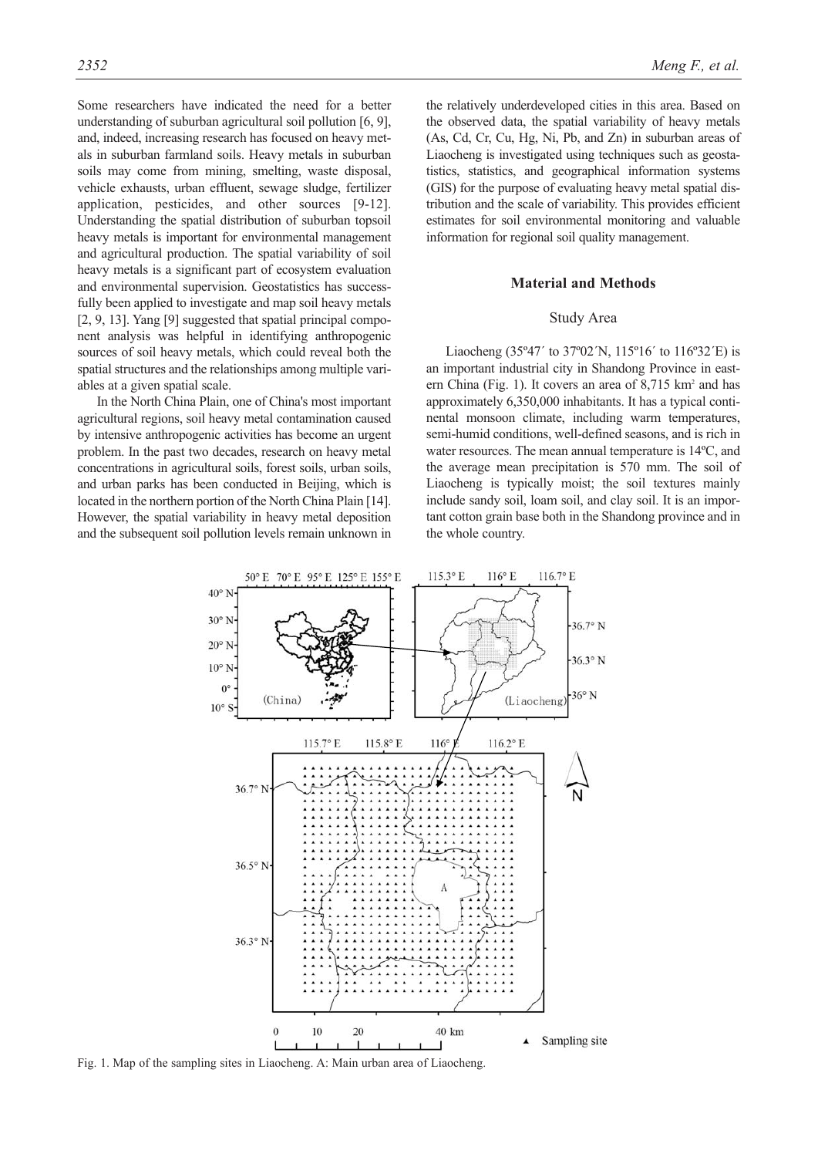Some researchers have indicated the need for a better understanding of suburban agricultural soil pollution [6, 9], and, indeed, increasing research has focused on heavy metals in suburban farmland soils. Heavy metals in suburban soils may come from mining, smelting, waste disposal, vehicle exhausts, urban effluent, sewage sludge, fertilizer application, pesticides, and other sources [9-12]. Understanding the spatial distribution of suburban topsoil heavy metals is important for environmental management and agricultural production. The spatial variability of soil heavy metals is a significant part of ecosystem evaluation and environmental supervision. Geostatistics has successfully been applied to investigate and map soil heavy metals [2, 9, 13]. Yang [9] suggested that spatial principal component analysis was helpful in identifying anthropogenic sources of soil heavy metals, which could reveal both the spatial structures and the relationships among multiple variables at a given spatial scale.

In the North China Plain, one of China's most important agricultural regions, soil heavy metal contamination caused by intensive anthropogenic activities has become an urgent problem. In the past two decades, research on heavy metal concentrations in agricultural soils, forest soils, urban soils, and urban parks has been conducted in Beijing, which is located in the northern portion of the North China Plain [14]. However, the spatial variability in heavy metal deposition and the subsequent soil pollution levels remain unknown in the relatively underdeveloped cities in this area. Based on the observed data, the spatial variability of heavy metals (As, Cd, Cr, Cu, Hg, Ni, Pb, and Zn) in suburban areas of Liaocheng is investigated using techniques such as geostatistics, statistics, and geographical information systems (GIS) for the purpose of evaluating heavy metal spatial distribution and the scale of variability. This provides efficient estimates for soil environmental monitoring and valuable information for regional soil quality management.

#### **Material and Methods**

#### Study Area

Liaocheng (35º47´ to 37º02´N, 115º16´ to 116º32´E) is an important industrial city in Shandong Province in eastern China (Fig. 1). It covers an area of  $8,715 \text{ km}^2$  and has approximately 6,350,000 inhabitants. It has a typical continental monsoon climate, including warm temperatures, semi-humid conditions, well-defined seasons, and is rich in water resources. The mean annual temperature is 14ºC, and the average mean precipitation is 570 mm. The soil of Liaocheng is typically moist; the soil textures mainly include sandy soil, loam soil, and clay soil. It is an important cotton grain base both in the Shandong province and in the whole country.



Fig. 1. Map of the sampling sites in Liaocheng. A: Main urban area of Liaocheng.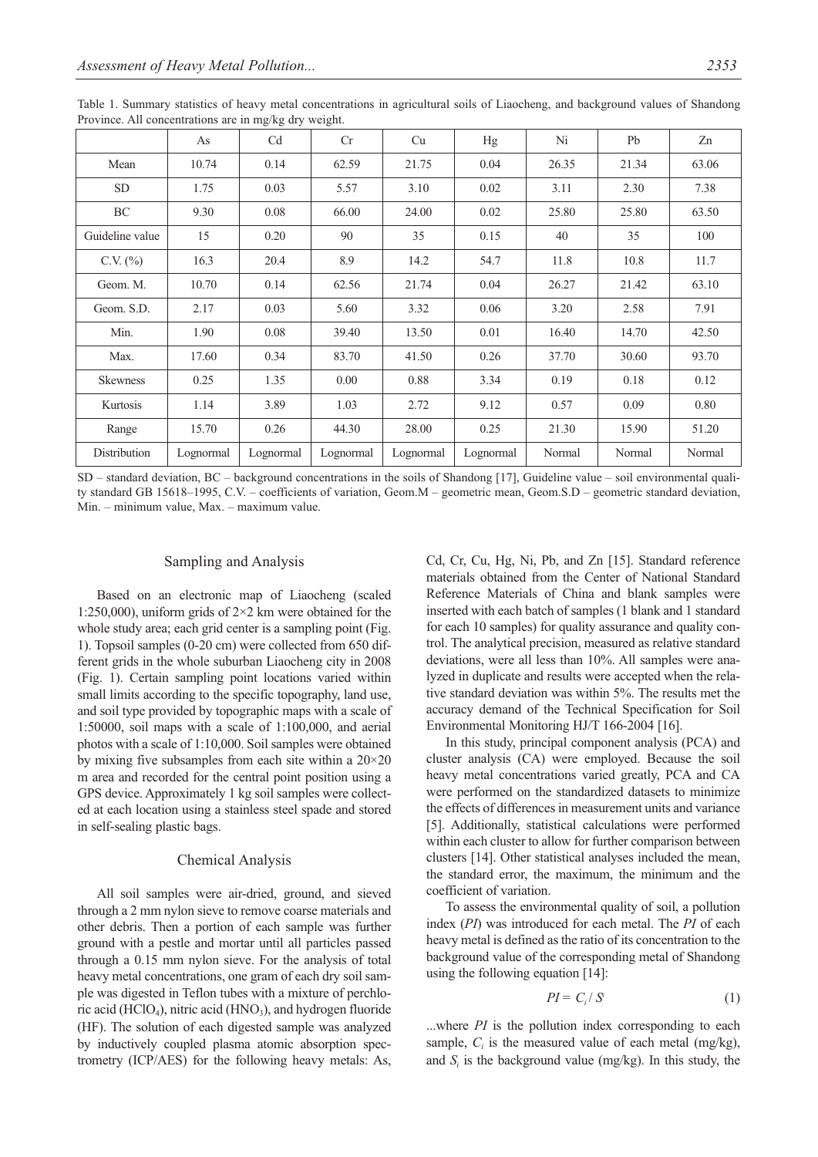|                 | As        | Cd        | Cr        | Cu        | Hg        | Ni     | Pb     | Zn     |
|-----------------|-----------|-----------|-----------|-----------|-----------|--------|--------|--------|
| Mean            | 10.74     | 0.14      | 62.59     | 21.75     | 0.04      | 26.35  | 21.34  | 63.06  |
| <b>SD</b>       | 1.75      | 0.03      | 5.57      | 3.10      | 0.02      | 3.11   | 2.30   | 7.38   |
| BC              | 9.30      | 0.08      | 66.00     | 24.00     | 0.02      | 25.80  | 25.80  | 63.50  |
| Guideline value | 15        | 0.20      | 90        | 35        | 0.15      | 40     | 35     | 100    |
| C.V. $(\%)$     | 16.3      | 20.4      | 8.9       | 14.2      | 54.7      | 11.8   | 10.8   | 11.7   |
| Geom. M.        | 10.70     | 0.14      | 62.56     | 21.74     | 0.04      | 26.27  | 21.42  | 63.10  |
| Geom. S.D.      | 2.17      | 0.03      | 5.60      | 3.32      | 0.06      | 3.20   | 2.58   | 7.91   |
| Min.            | 1.90      | 0.08      | 39.40     | 13.50     | 0.01      | 16.40  | 14.70  | 42.50  |
| Max.            | 17.60     | 0.34      | 83.70     | 41.50     | 0.26      | 37.70  | 30.60  | 93.70  |
| <b>Skewness</b> | 0.25      | 1.35      | 0.00      | 0.88      | 3.34      | 0.19   | 0.18   | 0.12   |
| Kurtosis        | 1.14      | 3.89      | 1.03      | 2.72      | 9.12      | 0.57   | 0.09   | 0.80   |
| Range           | 15.70     | 0.26      | 44.30     | 28.00     | 0.25      | 21.30  | 15.90  | 51.20  |
| Distribution    | Lognormal | Lognormal | Lognormal | Lognormal | Lognormal | Normal | Normal | Normal |

Table 1. Summary statistics of heavy metal concentrations in agricultural soils of Liaocheng, and background values of Shandong Province. All concentrations are in mg/kg dry weight.

SD – standard deviation, BC – background concentrations in the soils of Shandong [17], Guideline value – soil environmental quality standard GB 15618–1995, C.V. – coefficients of variation, Geom.M – geometric mean, Geom.S.D – geometric standard deviation, Min. – minimum value, Max. – maximum value.

#### Sampling and Analysis

Based on an electronic map of Liaocheng (scaled 1:250,000), uniform grids of 2×2 km were obtained for the whole study area; each grid center is a sampling point (Fig. 1). Topsoil samples (0-20 cm) were collected from 650 different grids in the whole suburban Liaocheng city in 2008 (Fig. 1). Certain sampling point locations varied within small limits according to the specific topography, land use, and soil type provided by topographic maps with a scale of 1:50000, soil maps with a scale of 1:100,000, and aerial photos with a scale of 1:10,000. Soil samples were obtained by mixing five subsamples from each site within a 20×20 m area and recorded for the central point position using a GPS device. Approximately 1 kg soil samples were collected at each location using a stainless steel spade and stored in self-sealing plastic bags.

#### Chemical Analysis

All soil samples were air-dried, ground, and sieved through a 2 mm nylon sieve to remove coarse materials and other debris. Then a portion of each sample was further ground with a pestle and mortar until all particles passed through a 0.15 mm nylon sieve. For the analysis of total heavy metal concentrations, one gram of each dry soil sample was digested in Teflon tubes with a mixture of perchloric acid (HClO<sub>4</sub>), nitric acid (HNO<sub>3</sub>), and hydrogen fluoride (HF). The solution of each digested sample was analyzed by inductively coupled plasma atomic absorption spectrometry (ICP/AES) for the following heavy metals: As, Cd, Cr, Cu, Hg, Ni, Pb, and Zn [15]. Standard reference materials obtained from the Center of National Standard Reference Materials of China and blank samples were inserted with each batch of samples (1 blank and 1 standard for each 10 samples) for quality assurance and quality control. The analytical precision, measured as relative standard deviations, were all less than 10%. All samples were analyzed in duplicate and results were accepted when the relative standard deviation was within 5%. The results met the accuracy demand of the Technical Specification for Soil Environmental Monitoring HJ/T 166-2004 [16].

In this study, principal component analysis (PCA) and cluster analysis (CA) were employed. Because the soil heavy metal concentrations varied greatly, PCA and CA were performed on the standardized datasets to minimize the effects of differences in measurement units and variance [5]. Additionally, statistical calculations were performed within each cluster to allow for further comparison between clusters [14]. Other statistical analyses included the mean, the standard error, the maximum, the minimum and the coefficient of variation.

To assess the environmental quality of soil, a pollution index (*PI*) was introduced for each metal. The *PI* of each heavy metal is defined as the ratio of its concentration to the background value of the corresponding metal of Shandong using the following equation [14]:

$$
PI = C_i / S^i \tag{1}
$$

...where *PI* is the pollution index corresponding to each sample,  $C_i$  is the measured value of each metal (mg/kg), and  $S_i$  is the background value (mg/kg). In this study, the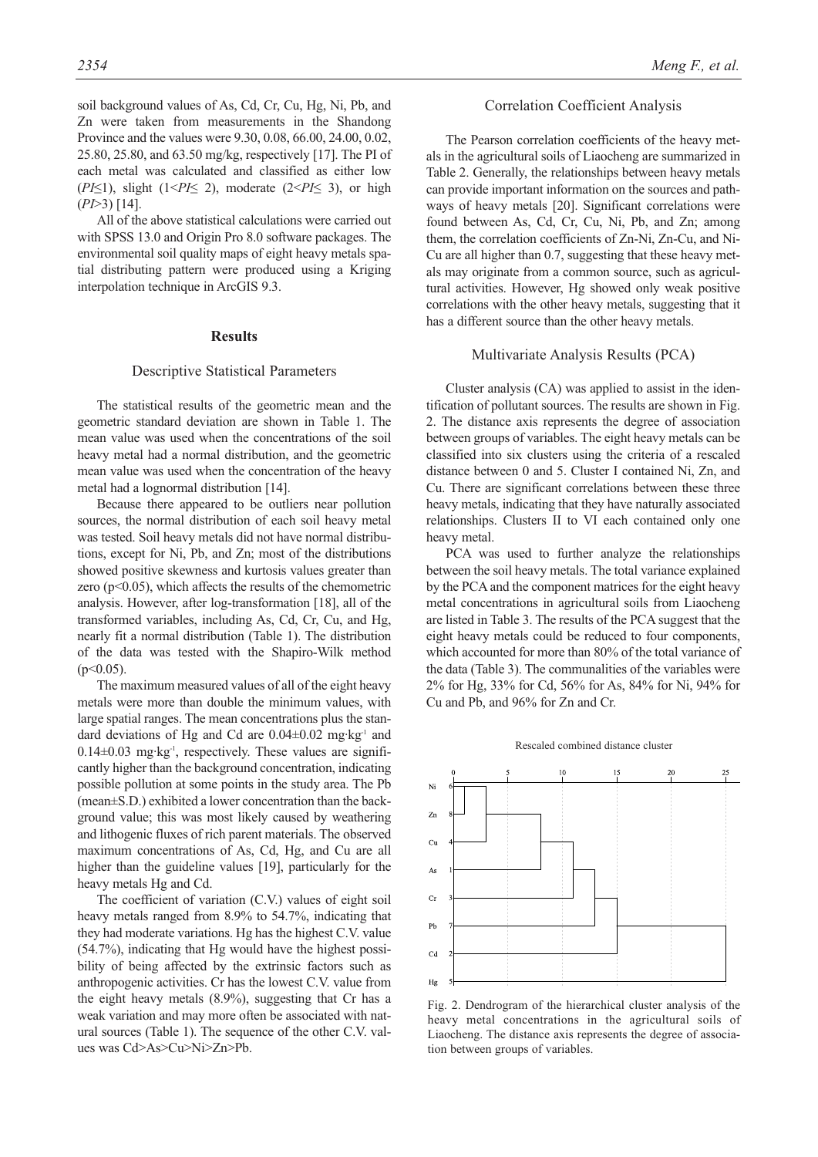soil background values of As, Cd, Cr, Cu, Hg, Ni, Pb, and Zn were taken from measurements in the Shandong Province and the values were 9.30, 0.08, 66.00, 24.00, 0.02, 25.80, 25.80, and 63.50 mg/kg, respectively [17]. The PI of each metal was calculated and classified as either low (*PI*≤1), slight (1<*PI*≤ 2), moderate (2<*PI*≤ 3), or high (*PI*>3) [14].

All of the above statistical calculations were carried out with SPSS 13.0 and Origin Pro 8.0 software packages. The environmental soil quality maps of eight heavy metals spatial distributing pattern were produced using a Kriging interpolation technique in ArcGIS 9.3.

#### **Results**

### Descriptive Statistical Parameters

The statistical results of the geometric mean and the geometric standard deviation are shown in Table 1. The mean value was used when the concentrations of the soil heavy metal had a normal distribution, and the geometric mean value was used when the concentration of the heavy metal had a lognormal distribution [14].

Because there appeared to be outliers near pollution sources, the normal distribution of each soil heavy metal was tested. Soil heavy metals did not have normal distributions, except for Ni, Pb, and Zn; most of the distributions showed positive skewness and kurtosis values greater than zero ( $p$ <0.05), which affects the results of the chemometric analysis. However, after log-transformation [18], all of the transformed variables, including As, Cd, Cr, Cu, and Hg, nearly fit a normal distribution (Table 1). The distribution of the data was tested with the Shapiro-Wilk method  $(p<0.05)$ .

The maximum measured values of all of the eight heavy metals were more than double the minimum values, with large spatial ranges. The mean concentrations plus the standard deviations of Hg and Cd are  $0.04\pm0.02$  mg·kg<sup>-1</sup> and  $0.14\pm0.03$  mg·kg<sup>-1</sup>, respectively. These values are significantly higher than the background concentration, indicating possible pollution at some points in the study area. The Pb (mean±S.D.) exhibited a lower concentration than the background value; this was most likely caused by weathering and lithogenic fluxes of rich parent materials. The observed maximum concentrations of As, Cd, Hg, and Cu are all higher than the guideline values [19], particularly for the heavy metals Hg and Cd.

The coefficient of variation (C.V.) values of eight soil heavy metals ranged from 8.9% to 54.7%, indicating that they had moderate variations. Hg has the highest C.V. value (54.7%), indicating that Hg would have the highest possibility of being affected by the extrinsic factors such as anthropogenic activities. Cr has the lowest C.V. value from the eight heavy metals (8.9%), suggesting that Cr has a weak variation and may more often be associated with natural sources (Table 1). The sequence of the other C.V. values was Cd>As>Cu>Ni>Zn>Pb.

#### Correlation Coefficient Analysis

The Pearson correlation coefficients of the heavy metals in the agricultural soils of Liaocheng are summarized in Table 2. Generally, the relationships between heavy metals can provide important information on the sources and pathways of heavy metals [20]. Significant correlations were found between As, Cd, Cr, Cu, Ni, Pb, and Zn; among them, the correlation coefficients of Zn-Ni, Zn-Cu, and Ni-Cu are all higher than 0.7, suggesting that these heavy metals may originate from a common source, such as agricultural activities. However, Hg showed only weak positive correlations with the other heavy metals, suggesting that it has a different source than the other heavy metals.

## Multivariate Analysis Results (PCA)

Cluster analysis (CA) was applied to assist in the identification of pollutant sources. The results are shown in Fig. 2. The distance axis represents the degree of association between groups of variables. The eight heavy metals can be classified into six clusters using the criteria of a rescaled distance between 0 and 5. Cluster I contained Ni, Zn, and Cu. There are significant correlations between these three heavy metals, indicating that they have naturally associated relationships. Clusters II to VI each contained only one heavy metal.

PCA was used to further analyze the relationships between the soil heavy metals. The total variance explained by the PCA and the component matrices for the eight heavy metal concentrations in agricultural soils from Liaocheng are listed in Table 3. The results of the PCA suggest that the eight heavy metals could be reduced to four components, which accounted for more than 80% of the total variance of the data (Table 3). The communalities of the variables were 2% for Hg, 33% for Cd, 56% for As, 84% for Ni, 94% for Cu and Pb, and 96% for Zn and Cr.





Fig. 2. Dendrogram of the hierarchical cluster analysis of the heavy metal concentrations in the agricultural soils of Liaocheng. The distance axis represents the degree of association between groups of variables.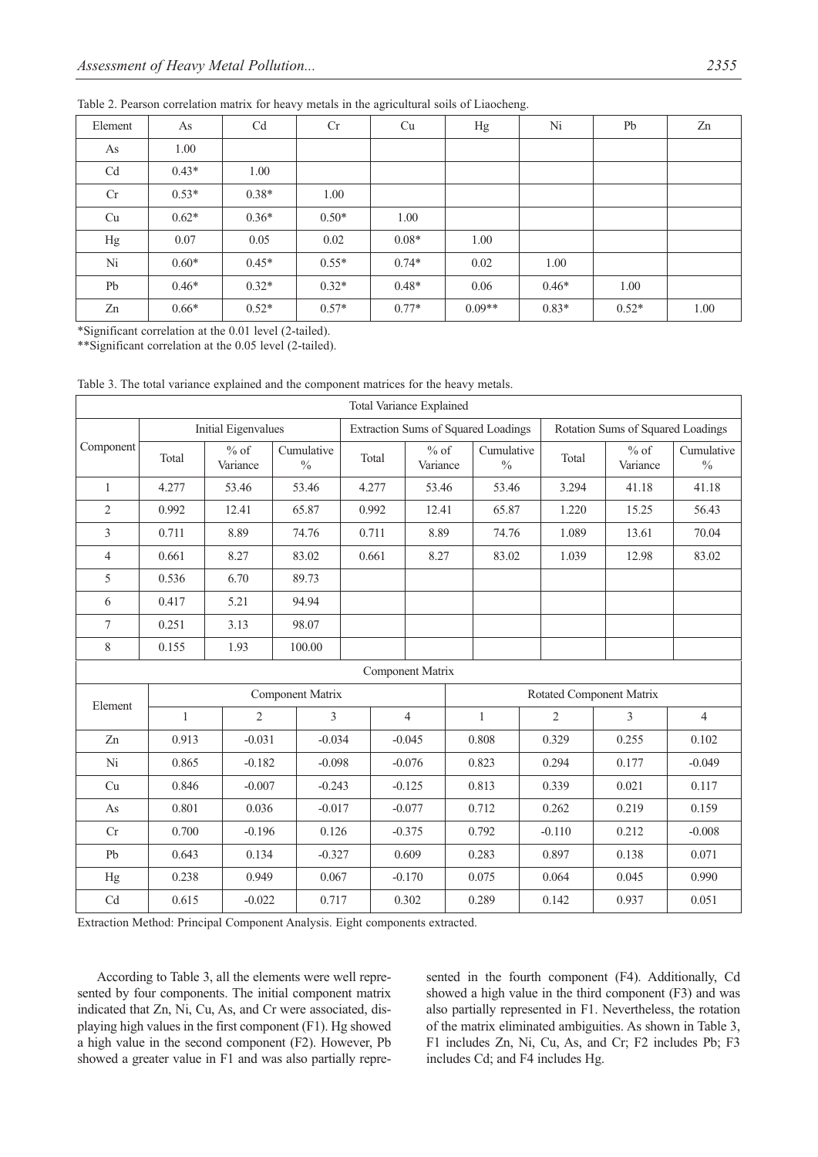| Element        | As      | Cd      | Cr      | Cu      | Hg       | Ni      | Pb      | Zn   |
|----------------|---------|---------|---------|---------|----------|---------|---------|------|
| As             | 1.00    |         |         |         |          |         |         |      |
| C <sub>d</sub> | $0.43*$ | 1.00    |         |         |          |         |         |      |
| Cr             | $0.53*$ | $0.38*$ | 1.00    |         |          |         |         |      |
| Cu             | $0.62*$ | $0.36*$ | $0.50*$ | 1.00    |          |         |         |      |
| Hg             | 0.07    | 0.05    | 0.02    | $0.08*$ | 1.00     |         |         |      |
| Ni             | $0.60*$ | $0.45*$ | $0.55*$ | $0.74*$ | 0.02     | 1.00    |         |      |
| Pb             | $0.46*$ | $0.32*$ | $0.32*$ | $0.48*$ | 0.06     | $0.46*$ | 1.00    |      |
| Zn             | $0.66*$ | $0.52*$ | $0.57*$ | $0.77*$ | $0.09**$ | $0.83*$ | $0.52*$ | 1.00 |

Table 2. Pearson correlation matrix for heavy metals in the agricultural soils of Liaocheng.

\*Significant correlation at the 0.01 level (2-tailed).

\*\*Significant correlation at the 0.05 level (2-tailed).

Table 3. The total variance explained and the component matrices for the heavy metals.

| Total Variance Explained   |                     |                                                   |        |          |       |                                            |                |                             |              |       |                                   |                             |                |  |
|----------------------------|---------------------|---------------------------------------------------|--------|----------|-------|--------------------------------------------|----------------|-----------------------------|--------------|-------|-----------------------------------|-----------------------------|----------------|--|
|                            | Initial Eigenvalues |                                                   |        |          |       | <b>Extraction Sums of Squared Loadings</b> |                |                             |              |       | Rotation Sums of Squared Loadings |                             |                |  |
| Component                  | Total               | $%$ of<br>Cumulative<br>Variance<br>$\frac{0}{0}$ |        | Total    |       | $%$ of<br>Variance                         |                | Cumulative<br>$\frac{0}{0}$ |              | Total | $%$ of<br>Variance                | Cumulative<br>$\frac{0}{0}$ |                |  |
| $\mathbf{1}$               | 4.277               | 53.46                                             | 53.46  |          |       | 4.277<br>53.46                             |                |                             | 53.46        |       | 3.294                             | 41.18                       | 41.18          |  |
| $\overline{2}$             | 0.992               | 12.41                                             | 65.87  |          | 0.992 |                                            | 12.41          |                             | 65.87        |       | 1.220                             | 15.25                       | 56.43          |  |
| 3                          | 0.711               | 8.89                                              | 74.76  |          | 0.711 |                                            | 8.89           |                             | 74.76        |       | 1.089                             | 13.61                       | 70.04          |  |
| $\overline{4}$             | 0.661               | 8.27                                              | 83.02  |          |       | 0.661                                      |                | 8.27                        | 83.02        |       | 1.039                             | 12.98                       | 83.02          |  |
| 5                          | 0.536               | 6.70                                              | 89.73  |          |       |                                            |                |                             |              |       |                                   |                             |                |  |
| 6                          | 0.417               | 5.21                                              |        | 94.94    |       |                                            |                |                             |              |       |                                   |                             |                |  |
| 7                          | 0.251               | 3.13                                              |        | 98.07    |       |                                            |                |                             |              |       |                                   |                             |                |  |
| 8                          | 0.155               | 1.93                                              | 100.00 |          |       |                                            |                |                             |              |       |                                   |                             |                |  |
| Component Matrix           |                     |                                                   |        |          |       |                                            |                |                             |              |       |                                   |                             |                |  |
| Element                    | Component Matrix    |                                                   |        |          |       |                                            |                |                             |              |       |                                   | Rotated Component Matrix    |                |  |
|                            | $\mathbf{1}$        | $\overline{2}$                                    |        | 3        |       |                                            | $\overline{4}$ |                             | $\mathbf{1}$ |       | $\overline{2}$                    | 3                           | $\overline{4}$ |  |
| Zn                         | 0.913               | $-0.031$                                          |        | $-0.034$ |       | $-0.045$                                   |                | 0.808                       |              |       | 0.329                             | 0.255                       | 0.102          |  |
| Ni                         | 0.865               | $-0.182$                                          |        | $-0.098$ |       | $-0.076$                                   |                | 0.823                       |              |       | 0.294                             | 0.177                       | $-0.049$       |  |
| Cu                         | 0.846               | $-0.007$                                          |        | $-0.243$ |       | $-0.125$                                   |                | 0.813                       |              |       | 0.339                             | 0.021                       | 0.117          |  |
| As                         | 0.801               | 0.036                                             |        | $-0.017$ |       | $-0.077$                                   |                | 0.712                       |              |       | 0.262                             | 0.219                       | 0.159          |  |
| Cr                         | 0.700               | $-0.196$                                          |        | 0.126    |       | $-0.375$                                   |                |                             | 0.792        |       | $-0.110$                          | 0.212                       | $-0.008$       |  |
| Pb                         | 0.643               | 0.134                                             |        | $-0.327$ |       | 0.609                                      |                |                             | 0.283        |       | 0.897                             | 0.138                       | 0.071          |  |
| Hg                         | 0.238               | 0.949                                             |        | 0.067    |       |                                            | $-0.170$       |                             | 0.075        |       | 0.064                             | 0.045                       | 0.990          |  |
| $\ensuremath{\mathrm{Cd}}$ | 0.615               | $-0.022$                                          |        | 0.717    |       |                                            | 0.302          |                             | 0.289        |       | 0.142                             | 0.937                       | 0.051          |  |

Extraction Method: Principal Component Analysis. Eight components extracted.

According to Table 3, all the elements were well represented by four components. The initial component matrix indicated that Zn, Ni, Cu, As, and Cr were associated, displaying high values in the first component (F1). Hg showed a high value in the second component (F2). However, Pb showed a greater value in F1 and was also partially represented in the fourth component (F4). Additionally, Cd showed a high value in the third component (F3) and was also partially represented in F1. Nevertheless, the rotation of the matrix eliminated ambiguities. As shown in Table 3, F1 includes Zn, Ni, Cu, As, and Cr; F2 includes Pb; F3 includes Cd; and F4 includes Hg.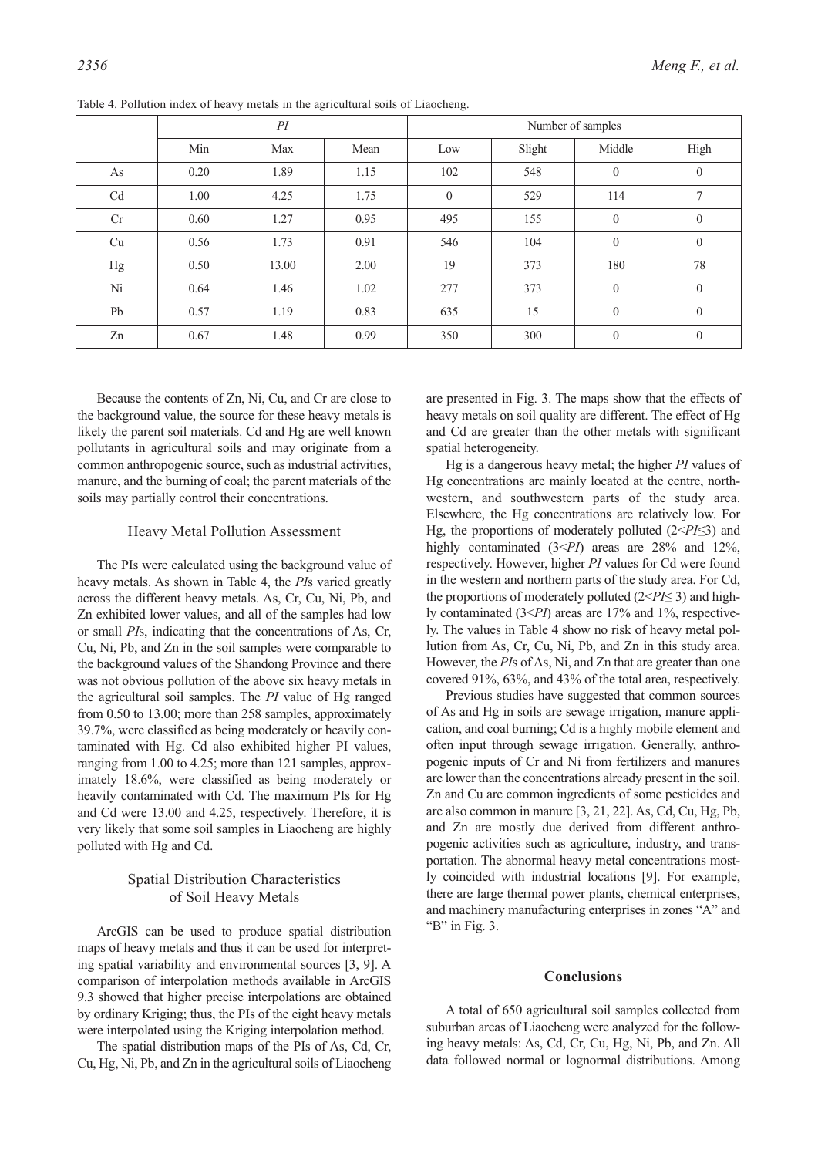|    |      | PI    |      | Number of samples |        |              |                  |  |  |  |
|----|------|-------|------|-------------------|--------|--------------|------------------|--|--|--|
|    | Min  | Max   | Mean | Low               | Slight | Middle       | High             |  |  |  |
| As | 0.20 | 1.89  | 1.15 | 102               | 548    | $\mathbf{0}$ | $\mathbf{0}$     |  |  |  |
| Cd | 1.00 | 4.25  | 1.75 | $\mathbf{0}$      | 529    | 114          | $\overline{7}$   |  |  |  |
| Cr | 0.60 | 1.27  | 0.95 | 495               | 155    | $\mathbf{0}$ | $\mathbf{0}$     |  |  |  |
| Cu | 0.56 | 1.73  | 0.91 | 546               | 104    | $\mathbf{0}$ | $\mathbf{0}$     |  |  |  |
| Hg | 0.50 | 13.00 | 2.00 | 19                | 373    | 180          | 78               |  |  |  |
| Ni | 0.64 | 1.46  | 1.02 | 277               | 373    | $\mathbf{0}$ | $\boldsymbol{0}$ |  |  |  |
| Pb | 0.57 | 1.19  | 0.83 | 635               | 15     | $\mathbf{0}$ | $\mathbf{0}$     |  |  |  |
| Zn | 0.67 | 1.48  | 0.99 | 350               | 300    | $\mathbf{0}$ | $\mathbf{0}$     |  |  |  |

Table 4. Pollution index of heavy metals in the agricultural soils of Liaocheng.

Because the contents of Zn, Ni, Cu, and Cr are close to the background value, the source for these heavy metals is likely the parent soil materials. Cd and Hg are well known pollutants in agricultural soils and may originate from a common anthropogenic source, such as industrial activities, manure, and the burning of coal; the parent materials of the soils may partially control their concentrations.

#### Heavy Metal Pollution Assessment

The PIs were calculated using the background value of heavy metals. As shown in Table 4, the *PI*s varied greatly across the different heavy metals. As, Cr, Cu, Ni, Pb, and Zn exhibited lower values, and all of the samples had low or small *PI*s, indicating that the concentrations of As, Cr, Cu, Ni, Pb, and Zn in the soil samples were comparable to the background values of the Shandong Province and there was not obvious pollution of the above six heavy metals in the agricultural soil samples. The *PI* value of Hg ranged from 0.50 to 13.00; more than 258 samples, approximately 39.7%, were classified as being moderately or heavily contaminated with Hg. Cd also exhibited higher PI values, ranging from 1.00 to 4.25; more than 121 samples, approximately 18.6%, were classified as being moderately or heavily contaminated with Cd. The maximum PIs for Hg and Cd were 13.00 and 4.25, respectively. Therefore, it is very likely that some soil samples in Liaocheng are highly polluted with Hg and Cd.

# Spatial Distribution Characteristics of Soil Heavy Metals

ArcGIS can be used to produce spatial distribution maps of heavy metals and thus it can be used for interpreting spatial variability and environmental sources [3, 9]. A comparison of interpolation methods available in ArcGIS 9.3 showed that higher precise interpolations are obtained by ordinary Kriging; thus, the PIs of the eight heavy metals were interpolated using the Kriging interpolation method.

The spatial distribution maps of the PIs of As, Cd, Cr, Cu, Hg, Ni, Pb, and Zn in the agricultural soils of Liaocheng are presented in Fig. 3. The maps show that the effects of heavy metals on soil quality are different. The effect of Hg and Cd are greater than the other metals with significant spatial heterogeneity.

Hg is a dangerous heavy metal; the higher *PI* values of Hg concentrations are mainly located at the centre, northwestern, and southwestern parts of the study area. Elsewhere, the Hg concentrations are relatively low. For Hg, the proportions of moderately polluted (2<*PI*≤3) and highly contaminated (3<*PI*) areas are 28% and 12%, respectively. However, higher *PI* values for Cd were found in the western and northern parts of the study area. For Cd, the proportions of moderately polluted (2<*PI*≤ 3) and highly contaminated (3<*PI*) areas are 17% and 1%, respectively. The values in Table 4 show no risk of heavy metal pollution from As, Cr, Cu, Ni, Pb, and Zn in this study area. However, the *PI*s of As, Ni, and Zn that are greater than one covered 91%, 63%, and 43% of the total area, respectively.

Previous studies have suggested that common sources of As and Hg in soils are sewage irrigation, manure application, and coal burning; Cd is a highly mobile element and often input through sewage irrigation. Generally, anthropogenic inputs of Cr and Ni from fertilizers and manures are lower than the concentrations already present in the soil. Zn and Cu are common ingredients of some pesticides and are also common in manure [3, 21, 22]. As, Cd, Cu, Hg, Pb, and Zn are mostly due derived from different anthropogenic activities such as agriculture, industry, and transportation. The abnormal heavy metal concentrations mostly coincided with industrial locations [9]. For example, there are large thermal power plants, chemical enterprises, and machinery manufacturing enterprises in zones "A" and "B" in Fig. 3.

#### **Conclusions**

A total of 650 agricultural soil samples collected from suburban areas of Liaocheng were analyzed for the following heavy metals: As, Cd, Cr, Cu, Hg, Ni, Pb, and Zn. All data followed normal or lognormal distributions. Among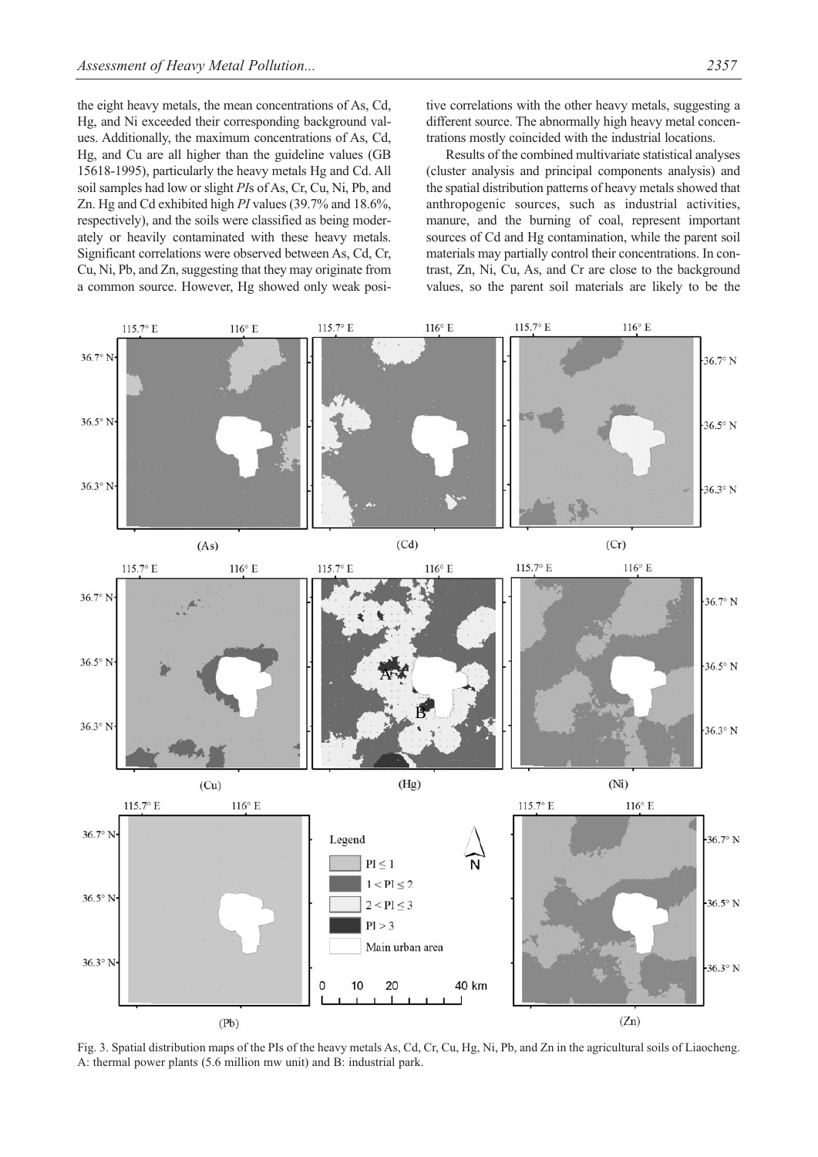the eight heavy metals, the mean concentrations of As, Cd, Hg, and Ni exceeded their corresponding background values. Additionally, the maximum concentrations of As, Cd, Hg, and Cu are all higher than the guideline values (GB 15618-1995), particularly the heavy metals Hg and Cd. All soil samples had low or slight *PI*s of As, Cr, Cu, Ni, Pb, and Zn. Hg and Cd exhibited high *PI* values (39.7% and 18.6%, respectively), and the soils were classified as being moderately or heavily contaminated with these heavy metals. Significant correlations were observed between As, Cd, Cr, Cu, Ni, Pb, and Zn, suggesting that they may originate from a common source. However, Hg showed only weak positive correlations with the other heavy metals, suggesting a different source. The abnormally high heavy metal concentrations mostly coincided with the industrial locations.

Results of the combined multivariate statistical analyses (cluster analysis and principal components analysis) and the spatial distribution patterns of heavy metals showed that anthropogenic sources, such as industrial activities, manure, and the burning of coal, represent important sources of Cd and Hg contamination, while the parent soil materials may partially control their concentrations. In contrast, Zn, Ni, Cu, As, and Cr are close to the background values, so the parent soil materials are likely to be the



Fig. 3. Spatial distribution maps of the PIs of the heavy metals As, Cd, Cr, Cu, Hg, Ni, Pb, and Zn in the agricultural soils of Liaocheng. A: thermal power plants (5.6 million mw unit) and B: industrial park.